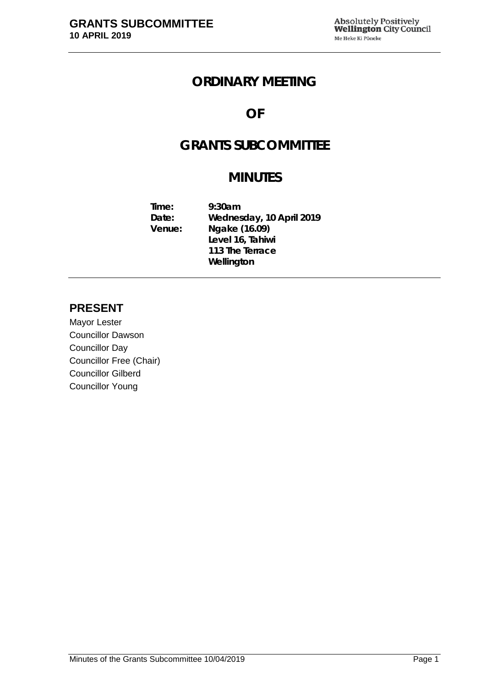### **ORDINARY MEETING**

## **OF**

# **GRANTS SUBCOMMITTEE**

## **MINUTES**

**Time: 9:30am Date: Wednesday, 10 April 2019 Venue: Ngake (16.09) Level 16, Tahiwi 113 The Terrace Wellington**

### **PRESENT**

Mayor Lester Councillor Dawson Councillor Day Councillor Free (Chair) Councillor Gilberd Councillor Young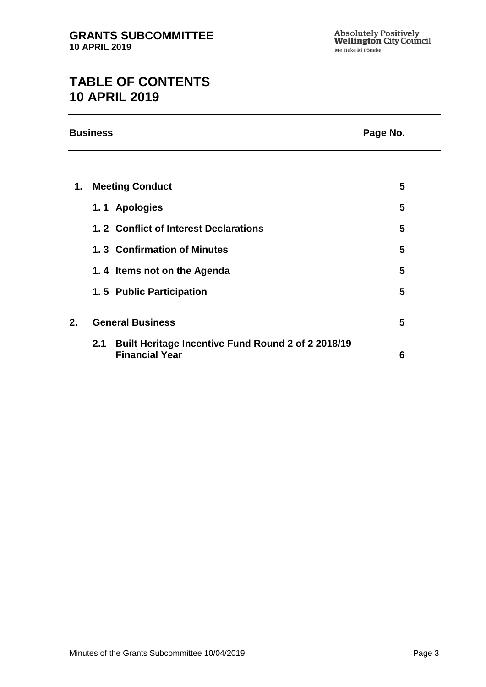# **TABLE OF CONTENTS 10 APRIL 2019**

|    | <b>Business</b>                                                                    | Page No. |  |
|----|------------------------------------------------------------------------------------|----------|--|
|    |                                                                                    |          |  |
| 1. | <b>Meeting Conduct</b>                                                             | 5        |  |
|    | 1.1 Apologies                                                                      | 5        |  |
|    | 1.2 Conflict of Interest Declarations                                              | 5        |  |
|    | 1.3 Confirmation of Minutes                                                        | 5        |  |
|    | 1.4 Items not on the Agenda                                                        | 5        |  |
|    | 1.5 Public Participation                                                           | 5        |  |
| 2. | <b>General Business</b>                                                            | 5        |  |
|    | Built Heritage Incentive Fund Round 2 of 2 2018/19<br>2.1<br><b>Financial Year</b> | 6        |  |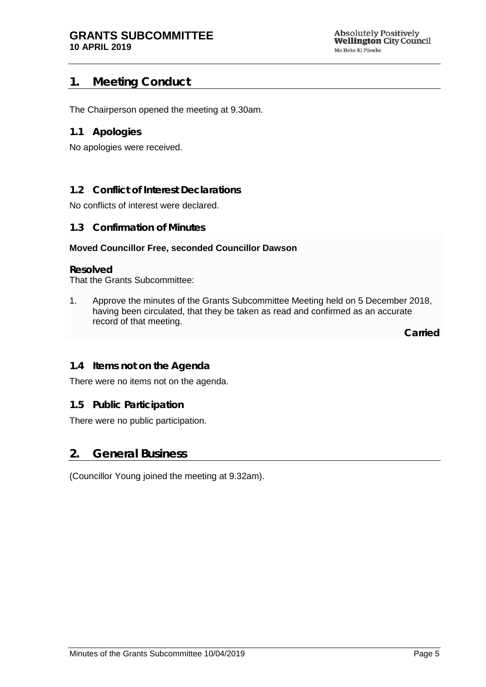### <span id="page-4-0"></span>**1. Meeting Conduct**

The Chairperson opened the meeting at 9.30am.

#### <span id="page-4-1"></span>**1.1 Apologies**

No apologies were received.

#### <span id="page-4-2"></span>**1.2 Conflict of Interest Declarations**

No conflicts of interest were declared.

#### <span id="page-4-3"></span>**1.3 Confirmation of Minutes**

#### **Moved Councillor Free, seconded Councillor Dawson**

#### **Resolved**

That the Grants Subcommittee:

1. Approve the minutes of the Grants Subcommittee Meeting held on 5 December 2018, having been circulated, that they be taken as read and confirmed as an accurate record of that meeting.

**Carried**

#### <span id="page-4-4"></span>**1.4 Items not on the Agenda**

There were no items not on the agenda.

#### **1.5 Public Participation**

There were no public participation.

#### <span id="page-4-5"></span>**2. General Business**

(Councillor Young joined the meeting at 9.32am).